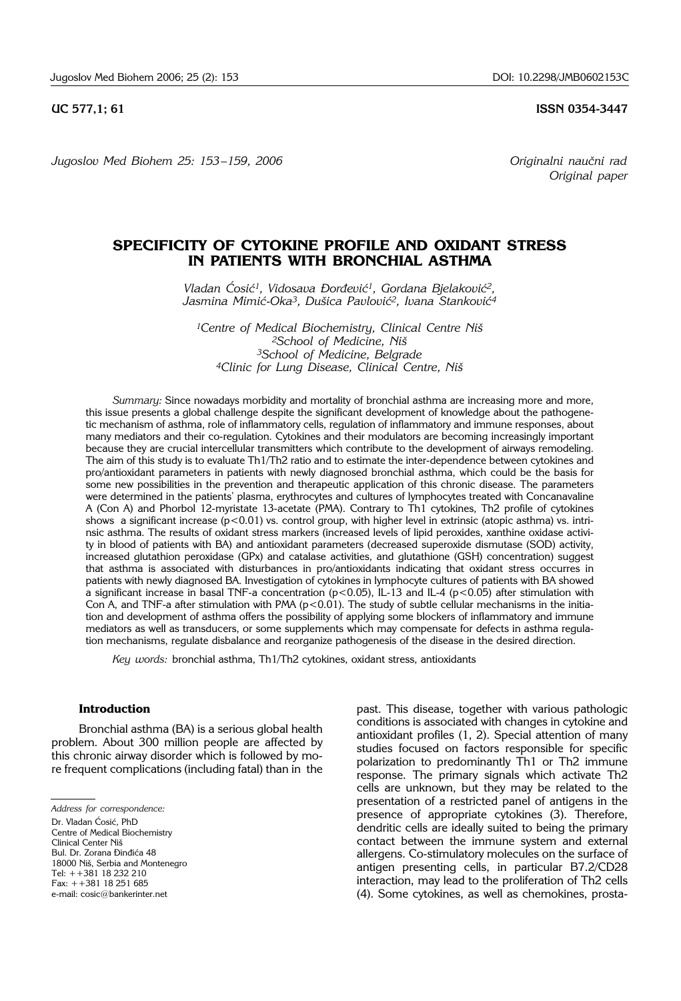*Jugoslov Med Biohem 25: 153-159, 2006 Originalni naučni rad* 

**UC 577,1; 61 ISSN 0354-3447** 

*Original paper*

# **SPECIFICITY OF CYTOKINE PROFILE AND OXIDANT STRESS IN PATIENTS WITH BRONCHIAL ASTHMA**

Vladan Ćosić<sup>1</sup>, Vidosava Đorđević<sup>1</sup>, Gordana Bjelaković<sup>2</sup>, Jasmina Mimić-Oka<sup>3</sup>, Dušica Pavlović<sup>2</sup>, Ivana Stanković<sup>4</sup>

<sup>1</sup>Centre of Medical Biochemistry, Clinical Centre Niš *2School of Medicine, Ni{ 3School of Medicine, Belgrade 4Clinic for Lung Disease, Clinical Centre, Ni{*

*Summary:* Since nowadays morbidity and mortality of bronchial asthma are increasing more and more, this issue presents a global challenge despite the significant development of knowledge about the pathogenetic mechanism of asthma, role of inflammatory cells, regulation of inflammatory and immune responses, about many mediators and their co-regulation. Cytokines and their modulators are becoming increasingly important because they are crucial intercellular transmitters which contribute to the development of airways remodeling. The aim of this study is to evaluate Th1/Th2 ratio and to estimate the inter-dependence between cytokines and pro/antioxidant parameters in patients with newly diagnosed bronchial asthma, which could be the basis for some new possibilities in the prevention and therapeutic application of this chronic disease. The parameters were determined in the patients' plasma, erythrocytes and cultures of lymphocytes treated with Concanavaline A (Con A) and Phorbol 12-myristate 13-acetate (PMA). Contrary to Th1 cytokines, Th2 profile of cytokines shows a significant increase ( $p < 0.01$ ) vs. control group, with higher level in extrinsic (atopic asthma) vs. intrinsic asthma. The results of oxidant stress markers (increased levels of lipid peroxides, xanthine oxidase activity in blood of patients with BA) and antioxidant parameters (decreased superoxide dismutase (SOD) activity, increased glutathion peroxidase (GPx) and catalase activities, and glutathione (GSH) concentration) suggest that asthma is associated with disturbances in pro/antioxidants indicating that oxidant stress occurres in patients with newly diagnosed BA. Investigation of cytokines in lymphocyte cultures of patients with BA showed a significant increase in basal TNF-a concentration ( $p<0.05$ ), IL-13 and IL-4 ( $p<0.05$ ) after stimulation with Con A, and TNF-a after stimulation with PMA ( $p < 0.01$ ). The study of subtle cellular mechanisms in the initiation and development of asthma offers the possibility of applying some blockers of inflammatory and immune mediators as well as transducers, or some supplements which may compensate for defects in asthma regulation mechanisms, regulate disbalance and reorganize pathogenesis of the disease in the desired direction.

*Key words:* bronchial asthma, Th1/Th2 cytokines, oxidant stress, antioxidants

## **Introduction**

Bronchial asthma (BA) is a serious global health problem. About 300 million people are affected by this chronic airway disorder which is followed by more frequent complications (including fatal) than in the

*Address for correspondence:* 

Dr. Vladan Ćosić, PhD Centre of Medical Biochemistry Clinical Center Niš Bul. Dr. Zorana Đinđića 48 18000 Niš, Serbia and Montenegro Tel: ++381 18 232 210

Fax: ++381 18 251 685

past. This disease, together with various pathologic conditions is associated with changes in cytokine and antioxidant profiles (1, 2). Special attention of many studies focused on factors responsible for specific polarization to predominantly Th1 or Th2 immune response. The primary signals which activate Th2 cells are unknown, but they may be related to the presentation of a restricted panel of antigens in the presence of appropriate cytokines (3). Therefore, dendritic cells are ideally suited to being the primary contact between the immune system and external allergens. Co-stimulatory molecules on the surface of antigen presenting cells, in particular B7.2/CD28 interaction, may lead to the proliferation of Th2 cells (4). Some cytokines, as well as chemokines, prosta-

e-mail: cosic@bankerinter.net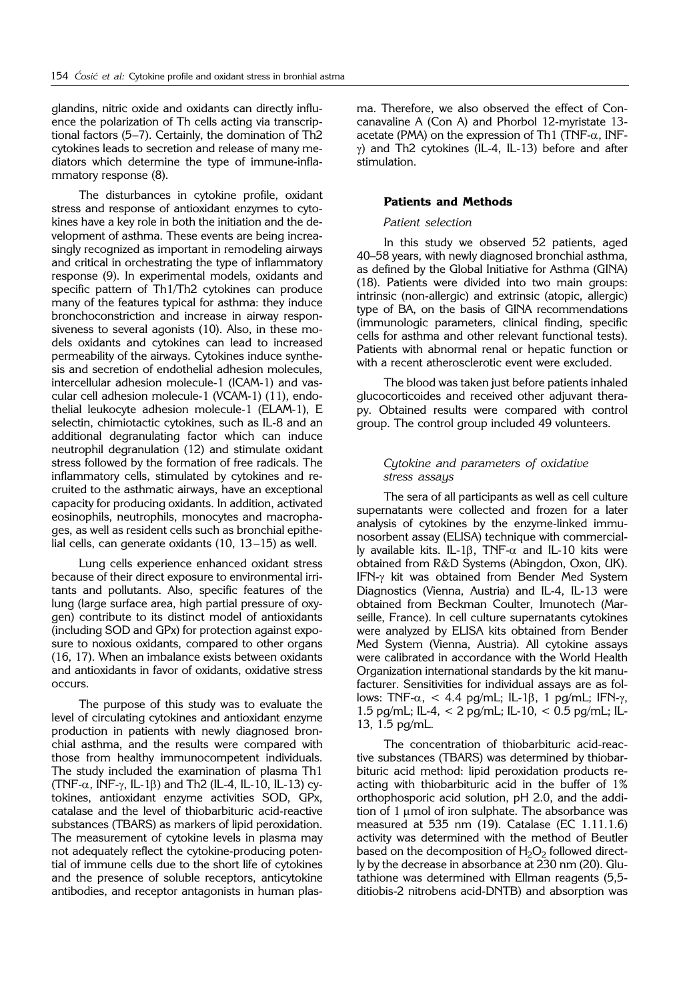glandins, nitric oxide and oxidants can directly influence the polarization of Th cells acting via transcriptional factors (5–7). Certainly, the domination of Th2 cytokines leads to secretion and release of many mediators which determine the type of immune-inflammatory response (8).

The disturbances in cytokine profile, oxidant stress and response of antioxidant enzymes to cytokines have a key role in both the initiation and the development of asthma. These events are being increasingly recognized as important in remodeling airways and critical in orchestrating the type of inflammatory response (9). In experimental models, oxidants and specific pattern of Th1/Th2 cytokines can produce many of the features typical for asthma: they induce bronchoconstriction and increase in airway responsiveness to several agonists (10). Also, in these models oxidants and cytokines can lead to increased permeability of the airways. Cytokines induce synthesis and secretion of endothelial adhesion molecules, intercellular adhesion molecule-1 (ICAM-1) and vascular cell adhesion molecule-1 (VCAM-1) (11), endothelial leukocyte adhesion molecule-1 (ELAM-1), E selectin, chimiotactic cytokines, such as IL-8 and an additional degranulating factor which can induce neutrophil degranulation (12) and stimulate oxidant stress followed by the formation of free radicals. The inflammatory cells, stimulated by cytokines and recruited to the asthmatic airways, have an exceptional capacity for producing oxidants. In addition, activated eosinophils, neutrophils, monocytes and macrophages, as well as resident cells such as bronchial epithelial cells, can generate oxidants (10, 13–15) as well.

Lung cells experience enhanced oxidant stress because of their direct exposure to environmental irritants and pollutants. Also, specific features of the lung (large surface area, high partial pressure of oxygen) contribute to its distinct model of antioxidants (including SOD and GPx) for protection against exposure to noxious oxidants, compared to other organs (16, 17). When an imbalance exists between oxidants and antioxidants in favor of oxidants, oxidative stress occurs.

The purpose of this study was to evaluate the level of circulating cytokines and antioxidant enzyme production in patients with newly diagnosed bronchial asthma, and the results were compared with those from healthy immunocompetent individuals. The study included the examination of plasma Th1 (TNF- $\alpha$ , INF- $\gamma$ , IL-1 $\beta$ ) and Th2 (IL-4, IL-10, IL-13) cytokines, antioxidant enzyme activities SOD, GPx, catalase and the level of thiobarbituric acid-reactive substances (TBARS) as markers of lipid peroxidation. The measurement of cytokine levels in plasma may not adequately reflect the cytokine-producing potential of immune cells due to the short life of cytokines and the presence of soluble receptors, anticytokine antibodies, and receptor antagonists in human plasma. Therefore, we also observed the effect of Concanavaline A (Con A) and Phorbol 12-myristate 13 acetate (PMA) on the expression of Th1 (TNF- $\alpha$ , INF- $\gamma$ ) and Th2 cytokines (IL-4, IL-13) before and after stimulation.

## **Patients and Methods**

## *Patient selection*

In this study we observed 52 patients, aged 40–58 years, with newly diagnosed bronchial asthma, as defined by the Global Initiative for Asthma (GINA) (18). Patients were divided into two main groups: intrinsic (non-allergic) and extrinsic (atopic, allergic) type of BA, on the basis of GINA recommendations (immunologic parameters, clinical finding, specific cells for asthma and other relevant functional tests). Patients with abnormal renal or hepatic function or with a recent atherosclerotic event were excluded.

The blood was taken just before patients inhaled glucocorticoides and received other adjuvant therapy. Obtained results were compared with control group. The control group included 49 volunteers.

## *Cytokine and parameters of oxidative stress assays*

The sera of all participants as well as cell culture supernatants were collected and frozen for a later analysis of cytokines by the enzyme-linked immunosorbent assay (ELISA) technique with commercially available kits. IL-1 $\beta$ , TNF- $\alpha$  and IL-10 kits were obtained from R&D Systems (Abingdon, Oxon, UK). IFN-g kit was obtained from Bender Med System Diagnostics (Vienna, Austria) and IL-4, IL-13 were obtained from Beckman Coulter, Imunotech (Marseille, France). In cell culture supernatants cytokines were analyzed by ELISA kits obtained from Bender Med System (Vienna, Austria). All cytokine assays were calibrated in accordance with the World Health Organization international standards by the kit manufacturer. Sensitivities for individual assays are as follows: TNF- $\alpha$ , < 4.4 pg/mL; IL-1 $\beta$ , 1 pg/mL; IFN- $\gamma$ , 1.5 pg/mL; IL-4, < 2 pg/mL; IL-10, < 0.5 pg/mL; IL-13, 1.5 pg/mL.

The concentration of thiobarbituric acid-reactive substances (TBARS) was determined by thiobarbituric acid method: lipid peroxidation products reacting with thiobarbituric acid in the buffer of 1% orthophosporic acid solution, pH 2.0, and the addition of  $1 \mu$ mol of iron sulphate. The absorbance was measured at 535 nm (19). Catalase (EC 1.11.1.6) activity was determined with the method of Beutler based on the decomposition of  $H_2O_2$  followed directly by the decrease in absorbance at 230 nm (20). Glutathione was determined with Ellman reagents (5,5 ditiobis-2 nitrobens acid-DNTB) and absorption was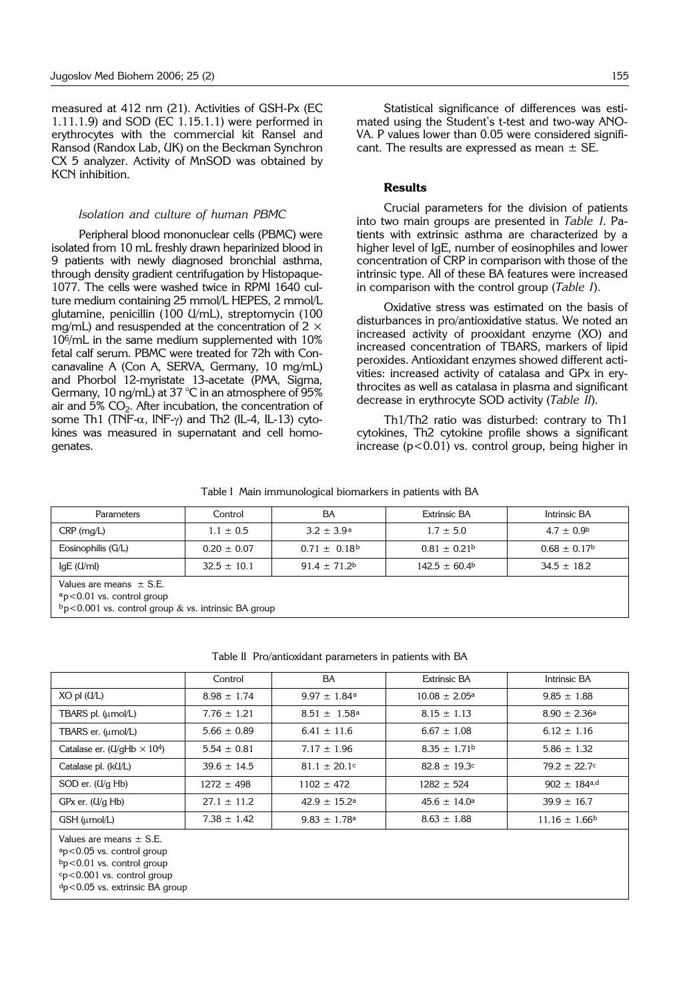measured at 412 nm (21). Activities of GSH-Px (EC 1.11.1.9) and SOD (EC 1.15.1.1) were performed in erythrocytes with the commercial kit Ransel and Ransod (Randox Lab, UK) on the Beckman Synchron CX 5 analyzer. Activity of MnSOD was obtained by KCN inhibition.

#### *Isolation and culture of human PBMC*

Peripheral blood mononuclear cells (PBMC) were isolated from 10 mL freshly drawn heparinized blood in 9 patients with newly diagnosed bronchial asthma, through density gradient centrifugation by Histopaque-1077. The cells were washed twice in RPMI 1640 culture medium containing 25 mmol/L HEPES, 2 mmol/L glutamine, penicillin (100 U/mL), streptomycin (100 mg/mL) and resuspended at the concentration of  $2 \times$ 106/mL in the same medium supplemented with 10% fetal calf serum. PBMC were treated for 72h with Concanavaline A (Con A, SERVA, Germany, 10 mg/mL) and Phorbol 12-myristate 13-acetate (PMA, Sigma, Germany, 10 ng/mL) at 37  $^{\circ}$ C in an atmosphere of 95% air and  $5\%$  CO<sub>2</sub>. After incubation, the concentration of some Th1 (TNF- $\alpha$ , INF- $\gamma$ ) and Th2 (IL-4, IL-13) cytokines was measured in supernatant and cell homogenates.

## **Results**

Crucial parameters for the division of patients into two main groups are presented in *Table I*. Patients with extrinsic asthma are characterized by a higher level of IgE, number of eosinophiles and lower concentration of CRP in comparison with those of the intrinsic type. All of these BA features were increased in comparison with the control group (*Table I*).

Oxidative stress was estimated on the basis of disturbances in pro/antioxidative status. We noted an increased activity of prooxidant enzyme (XO) and increased concentration of TBARS, markers of lipid peroxides. Antioxidant enzymes showed different activities: increased activity of catalasa and GPx in erythrocites as well as catalasa in plasma and significant decrease in erythrocyte SOD activity (*Table II*).

Th1/Th2 ratio was disturbed: contrary to Th1 cytokines, Th2 cytokine profile shows a significant increase  $(p<0.01)$  vs. control group, being higher in

Table I Main immunological biomarkers in patients with BA

| Parameters                  | Control         | BA                           | <b>Extrinsic BA</b> | Intrinsic BA                 |
|-----------------------------|-----------------|------------------------------|---------------------|------------------------------|
| $CRP$ (mg/L)                | $1.1 \pm 0.5$   | $3.2 \pm 3.9^{\circ}$        | $1.7 \pm 5.0$       | $4.7 \pm 0.9^{\circ}$        |
| Eosinophilis (G/L)          | $0.20 \pm 0.07$ | $0.71 \pm 0.18$ <sup>b</sup> | $0.81 \pm 0.21$     | $0.68 \pm 0.17$ <sup>b</sup> |
| IgE (U/ml)                  | $32.5 \pm 10.1$ | $91.4 \pm 71.2^b$            | $142.5 \pm 60.4$    | $34.5 \pm 18.2$              |
| Values are means $\pm$ S.E. |                 |                              |                     |                              |

ap<0.01 vs. control group

 $b_p$  < 0.001 vs. control group & vs. intrinsic BA group

|                                                                                               | Control         | BA                           | <b>Extrinsic BA</b>      | Intrinsic BA               |
|-----------------------------------------------------------------------------------------------|-----------------|------------------------------|--------------------------|----------------------------|
| $XO$ pl $(U/L)$                                                                               | $8.98 \pm 1.74$ | $9.97 \pm 1.84^a$            | $10.08 \pm 2.05^{\circ}$ | $9.85 \pm 1.88$            |
| TBARS pl. (umol/L)                                                                            | $7.76 \pm 1.21$ | $8.51 \pm 1.58$ <sup>a</sup> | $8.15 \pm 1.13$          | $8.90 \pm 2.36^{\circ}$    |
| TBARS er. (umol/L)                                                                            | $5.66 \pm 0.89$ | $6.41 \pm 11.6$              | $6.67 \pm 1.08$          | $6.12 \pm 1.16$            |
| Catalase er. ( $\frac{U}{g}$ Hb $\times$ 10 <sup>4</sup> )                                    | $5.54 \pm 0.81$ | $7.17 \pm 1.96$              | $8.35 \pm 1.71^{\rm b}$  | $5.86 \pm 1.32$            |
| Catalase pl. (kU/L)                                                                           | $39.6 \pm 14.5$ | $81.1 \pm 20.1$ c            | $82.8 \pm 19.3$ c        | $79.2 \pm 22.7$ c          |
| SOD er. (U/g Hb)                                                                              | $1272 \pm 498$  | $1102 \pm 472$               | $1282 \pm 524$           | $902 + 184$ <sup>a,d</sup> |
| $GPx$ er. $(U/q Hb)$                                                                          | $27.1 \pm 11.2$ | $42.9 \pm 15.2$ <sup>a</sup> | $45.6 \pm 14.0^{\circ}$  | $39.9 \pm 16.7$            |
| GSH (umol/L)                                                                                  | $7.38 \pm 1.42$ | $9.83 \pm 1.78$ <sup>a</sup> | $8.63 \pm 1.88$          | $11.16 \pm 1.66^{\circ}$   |
| Values are means $\pm$ S.E.<br>$a$ p<0.05 vs. control group<br>$b_n < 0.01$ vs. control group |                 |                              |                          |                            |

b<sub>p</sub><0.01 vs. control group

cp<0.001 vs. control group

dp<0.05 vs. extrinsic BA group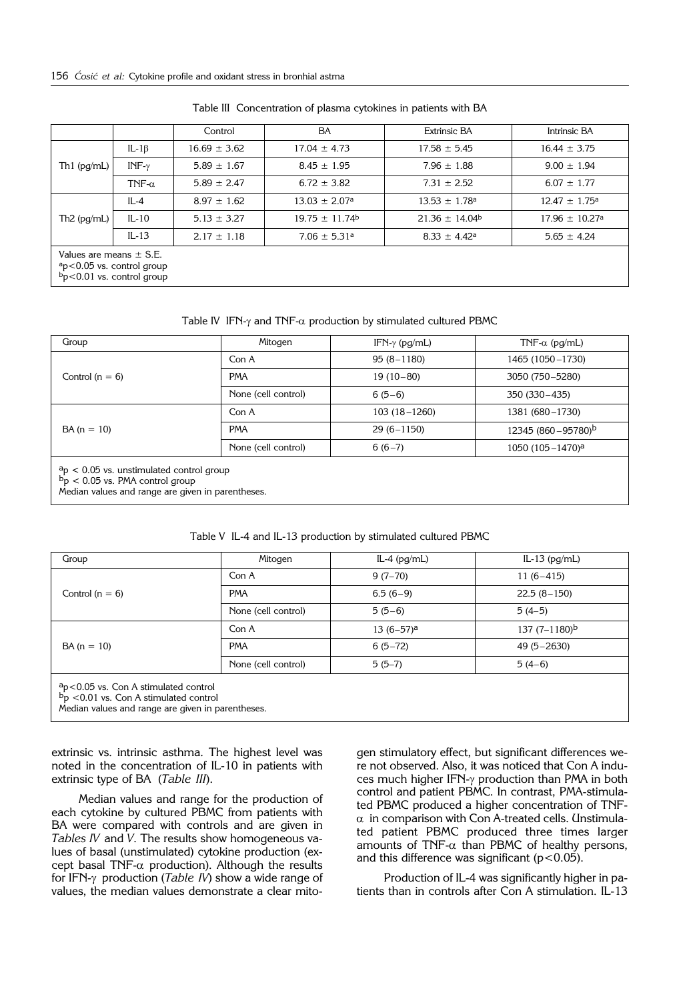|                             |                                                                | Control          | BA                            | <b>Extrinsic BA</b>           | Intrinsic BA                   |
|-----------------------------|----------------------------------------------------------------|------------------|-------------------------------|-------------------------------|--------------------------------|
| Th $1$ (pg/mL)              | IL-1 $\beta$                                                   | $16.69 \pm 3.62$ | $17.04 \pm 4.73$              | $17.58 \pm 5.45$              | $16.44 \pm 3.75$               |
|                             | INF- $\gamma$                                                  | $5.89 \pm 1.67$  | $8.45 \pm 1.95$               | $7.96 \pm 1.88$               | $9.00 \pm 1.94$                |
|                             | TNF- $\alpha$                                                  | $5.89 \pm 2.47$  | $6.72 \pm 3.82$               | $7.31 \pm 2.52$               | $6.07 \pm 1.77$                |
| Th $2$ (pg/mL)              | $IL-4$                                                         | $8.97 \pm 1.62$  | $13.03 \pm 2.07$ <sup>a</sup> | $13.53 \pm 1.78$ <sup>a</sup> | $12.47 \pm 1.75^{\circ}$       |
|                             | $IL-10$                                                        | $5.13 \pm 3.27$  | $19.75 \pm 11.74$             | $21.36 \pm 14.04$             | $17.96 \pm 10.27$ <sup>a</sup> |
|                             | $IL-13$                                                        | $2.17 \pm 1.18$  | $7.06 \pm 5.31$ <sup>a</sup>  | $8.33 \pm 4.42^{\circ}$       | $5.65 \pm 4.24$                |
| Values are means $\pm$ S.E. | $a$ p<0.05 vs. control group<br>$b_p$ < 0.01 vs. control group |                  |                               |                               |                                |

Table III Concentration of plasma cytokines in patients with BA

Table IV IFN- $\gamma$  and TNF- $\alpha$  production by stimulated cultured PBMC

| Group                                                                                                           | Mitogen             | IFN- $\gamma$ (pg/mL) | TNF- $\alpha$ (pg/mL) |
|-----------------------------------------------------------------------------------------------------------------|---------------------|-----------------------|-----------------------|
|                                                                                                                 | Con A               | $95(8 - 1180)$        | 1465 (1050-1730)      |
| Control $(n = 6)$                                                                                               | <b>PMA</b>          | $19(10-80)$           | 3050 (750-5280)       |
|                                                                                                                 | None (cell control) | $6(5-6)$              | 350 (330 - 435)       |
|                                                                                                                 | Con A               | $103(18 - 1260)$      | 1381 (680-1730)       |
| $BA (n = 10)$                                                                                                   | <b>PMA</b>          | $29(6 - 1150)$        | 12345 (860-95780)b    |
|                                                                                                                 | None (cell control) | $6(6-7)$              | 1050 $(105 - 1470)^a$ |
| $a$ <sup>a</sup> p < 0.05 vs. unstimulated control group<br>$\overrightarrow{b}_p$ < 0.05 vs. PMA control group |                     |                       |                       |

Median values and range are given in parentheses.

| Group                                                                                                                                                   | Mitogen             | $IL-4$ ( $pq/mL$ ) | IL-13 $(pq/mL)$  |
|---------------------------------------------------------------------------------------------------------------------------------------------------------|---------------------|--------------------|------------------|
|                                                                                                                                                         | Con A               | $9(7-70)$          | $11(6-415)$      |
| Control $(n = 6)$                                                                                                                                       | <b>PMA</b>          | $6.5(6-9)$         | $22.5(8-150)$    |
|                                                                                                                                                         | None (cell control) | $5(5-6)$           | $5(4-5)$         |
|                                                                                                                                                         | Con A               | $13(6-57)^a$       | 137 $(7-1180)^b$ |
| $BA (n = 10)$                                                                                                                                           | <b>PMA</b>          | $6(5-72)$          | $49(5 - 2630)$   |
|                                                                                                                                                         | None (cell control) | $5(5-7)$           | $5(4-6)$         |
| $a$ <sub>p</sub> $<$ 0.05 vs. Con A stimulated control<br>$b_p$ <0.01 vs. Con A stimulated control<br>Median values and range are given in parentheses. |                     |                    |                  |

Table V IL-4 and IL-13 production by stimulated cultured PBMC

extrinsic vs. intrinsic asthma. The highest level was noted in the concentration of IL-10 in patients with extrinsic type of BA (*Table III*).

Median values and range for the production of each cytokine by cultured PBMC from patients with BA were compared with controls and are given in *Tables IV* and *V*. The results show homogeneous values of basal (unstimulated) cytokine production (except basal TNF- $\alpha$  production). Although the results for IFN-g production (*Table IV*) show a wide range of values, the median values demonstrate a clear mito-

gen stimulatory effect, but significant differences were not observed. Also, it was noticed that Con A induces much higher IFN-g production than PMA in both control and patient PBMC. In contrast, PMA-stimulated PBMC produced a higher concentration of TNF- $\alpha$  in comparison with Con A-treated cells. Unstimulated patient PBMC produced three times larger amounts of TNF- $\alpha$  than PBMC of healthy persons, and this difference was significant ( $p$ <0.05).

Production of IL-4 was significantly higher in patients than in controls after Con A stimulation. IL-13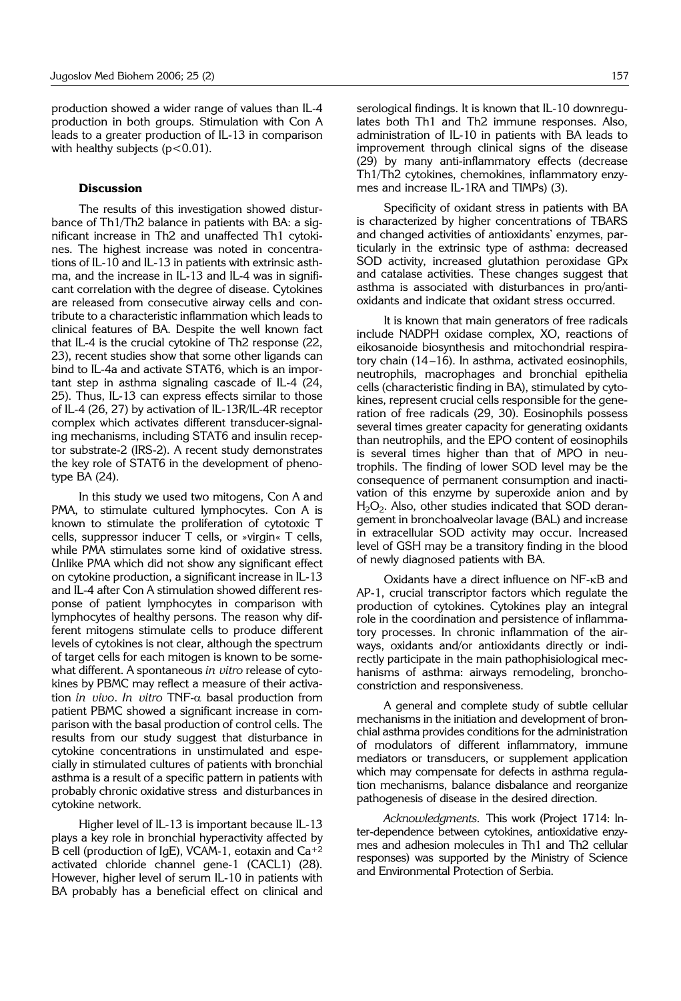production showed a wider range of values than IL-4 production in both groups. Stimulation with Con A leads to a greater production of IL-13 in comparison with healthy subjects  $(p<0.01)$ .

## **Discussion**

The results of this investigation showed disturbance of Th1/Th2 balance in patients with BA: a significant increase in Th2 and unaffected Th1 cytokines. The highest increase was noted in concentrations of IL-10 and IL-13 in patients with extrinsic asthma, and the increase in IL-13 and IL-4 was in significant correlation with the degree of disease. Cytokines are released from consecutive airway cells and contribute to a characteristic inflammation which leads to clinical features of BA. Despite the well known fact that IL-4 is the crucial cytokine of Th2 response (22, 23), recent studies show that some other ligands can bind to IL-4a and activate STAT6, which is an important step in asthma signaling cascade of IL-4 (24, 25). Thus, IL-13 can express effects similar to those of IL-4 (26, 27) by activation of IL-13R/IL-4R receptor complex which activates different transducer-signaling mechanisms, including STAT6 and insulin receptor substrate-2 (IRS-2). A recent study demonstrates the key role of STAT6 in the development of phenotype BA (24).

In this study we used two mitogens, Con A and PMA, to stimulate cultured lymphocytes. Con A is known to stimulate the proliferation of cytotoxic T cells, suppressor inducer T cells, or »virgin« T cells, while PMA stimulates some kind of oxidative stress. Unlike PMA which did not show any significant effect on cytokine production, a significant increase in IL-13 and IL-4 after Con A stimulation showed different response of patient lymphocytes in comparison with lymphocytes of healthy persons. The reason why different mitogens stimulate cells to produce different levels of cytokines is not clear, although the spectrum of target cells for each mitogen is known to be somewhat different. A spontaneous *in vitro* release of cytokines by PBMC may reflect a measure of their activation *in vivo*. *In vitro* TNF-a basal production from patient PBMC showed a significant increase in comparison with the basal production of control cells. The results from our study suggest that disturbance in cytokine concentrations in unstimulated and especially in stimulated cultures of patients with bronchial asthma is a result of a specific pattern in patients with probably chronic oxidative stress and disturbances in cytokine network.

Higher level of IL-13 is important because IL-13 plays a key role in bronchial hyperactivity affected by B cell (production of IgE), VCAM-1, eotaxin and Ca+2 activated chloride channel gene-1 (CACL1) (28). However, higher level of serum IL-10 in patients with BA probably has a beneficial effect on clinical and serological findings. It is known that IL-10 downregulates both Th1 and Th2 immune responses. Also, administration of IL-10 in patients with BA leads to improvement through clinical signs of the disease (29) by many anti-inflammatory effects (decrease Th1/Th2 cytokines, chemokines, inflammatory enzymes and increase IL-1RA and TIMPs) (3).

Specificity of oxidant stress in patients with BA is characterized by higher concentrations of TBARS and changed activities of antioxidants' enzymes, particularly in the extrinsic type of asthma: decreased SOD activity, increased glutathion peroxidase GPx and catalase activities. These changes suggest that asthma is associated with disturbances in pro/antioxidants and indicate that oxidant stress occurred.

It is known that main generators of free radicals include NADPH oxidase complex, XO, reactions of eikosanoide biosynthesis and mitochondrial respiratory chain (14–16). In asthma, activated eosinophils, neutrophils, macrophages and bronchial epithelia cells (characteristic finding in BA), stimulated by cytokines, represent crucial cells responsible for the generation of free radicals (29, 30). Eosinophils possess several times greater capacity for generating oxidants than neutrophils, and the EPO content of eosinophils is several times higher than that of MPO in neutrophils. The finding of lower SOD level may be the consequence of permanent consumption and inactivation of this enzyme by superoxide anion and by  $H_2O_2$ . Also, other studies indicated that SOD derangement in bronchoalveolar lavage (BAL) and increase in extracellular SOD activity may occur. Increased level of GSH may be a transitory finding in the blood of newly diagnosed patients with BA.

Oxidants have a direct influence on NF-kB and AP-1, crucial transcriptor factors which regulate the production of cytokines. Cytokines play an integral role in the coordination and persistence of inflammatory processes. In chronic inflammation of the airways, oxidants and/or antioxidants directly or indirectly participate in the main pathophisiological mechanisms of asthma: airways remodeling, bronchoconstriction and responsiveness.

A general and complete study of subtle cellular mechanisms in the initiation and development of bronchial asthma provides conditions for the administration of modulators of different inflammatory, immune mediators or transducers, or supplement application which may compensate for defects in asthma regulation mechanisms, balance disbalance and reorganize pathogenesis of disease in the desired direction.

*Acknowledgments.* This work (Project 1714: Inter-dependence between cytokines, antioxidative enzymes and adhesion molecules in Th1 and Th2 cellular responses) was supported by the Ministry of Science and Environmental Protection of Serbia.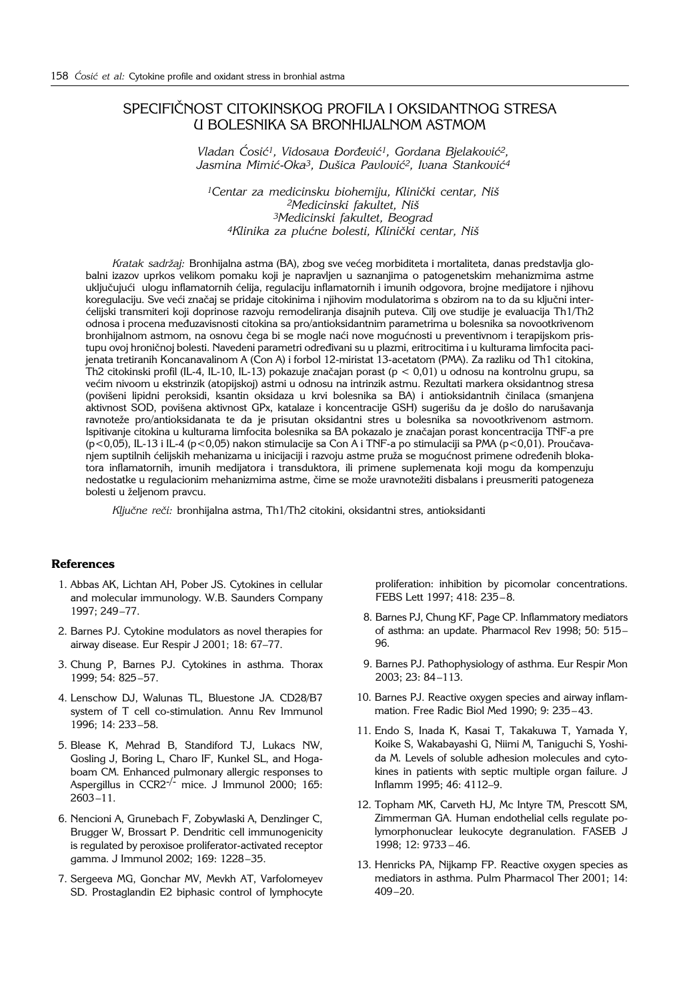## SPECIFI^NOST CITOKINSKOG PROFILA I OKSIDANTNOG STRESA U BOLESNIKA SA BRONHIJALNOM ASTMOM

Vladan Ćosić<sup>1</sup>, Vidosava Đorđević<sup>1</sup>, Gordana Bjelaković<sup>2</sup>, Jasmina Mimić-Oka<sup>3</sup>, Dušica Pavlović<sup>2</sup>, Ivana Stanković<sup>4</sup>

<sup>1</sup>Centar za medicinsku biohemiju, Klinički centar, Niš *2Medicinski fakultet, Ni{ 3Medicinski fakultet, Beograd* 4Klinika za plućne bolesti, Klinički centar, Niš

*Kratak sadržaj: Bronhijalna astma (BA), zbog sve većeg morbiditeta i mortaliteta, danas predstavlja glo*balni izazov uprkos velikom pomaku koji je napravljen u saznanjima o patogenetskim mehanizmima astme uključujući ulogu inflamatornih ćelija, regulaciju inflamatornih i imunih odgovora, brojne medijatore i njihovu koregulaciju. Sve veći značaj se pridaje citokinima i njihovim modulatorima s obzirom na to da su ključni inter-}elijski transmiteri koji doprinose razvoju remodeliranja disajnih puteva. Cilj ove studije je evaluacija Th1/Th2 odnosa i procena međuzavisnosti citokina sa pro/antioksidantnim parametrima u bolesnika sa novootkrivenom bronhijalnom astmom, na osnovu čega bi se mogle naći nove mogućnosti u preventivnom i terapijskom pristupu ovoj hroničnoj bolesti. Navedeni parametri određivani su u plazmi, eritrocitima i u kulturama limfocita pacijenata tretiranih Koncanavalinom A (Con A) i forbol 12-miristat 13-acetatom (PMA). Za razliku od Th1 citokina, .<br>Th2 citokinski profil (IL-4, IL-10, IL-13) pokazuje značajan porast (p < 0,01) u odnosu na kontrolnu grupu, sa većim nivoom u ekstrinzik (atopijskoj) astmi u odnosu na intrinzik astmu. Rezultati markera oksidantnog stresa (povišeni lipidni peroksidi, ksantin oksidaza u krvi bolesnika sa BA) i antioksidantnih činilaca (smanjena aktivnost SOD, povišena aktivnost GPx, katalaze i koncentracije GSH) sugerišu da je došlo do narušavanja ravnoteže pro/antioksidanata te da je prisutan oksidantni stres u bolesnika sa novootkrivenom astmom. Ispitivanje citokina u kulturama limfocita bolesnika sa BA pokazalo je značajan porast koncentracija TNF-a pre  $(p<0,05)$ , IL-13 i IL-4 (p<0,05) nakon stimulacije sa Con A i TNF-a po stimulaciji sa PMA (p<0,01). Proučavanjem suptilnih ćelijskih mehanizama u inicijaciji i razvoju astme pruža se mogućnost primene određenih blokatora inflamatornih, imunih medijatora i transduktora, ili primene suplemenata koji mogu da kompenzuju nedostatke u regulacionim mehanizmima astme, čime se može uravnotežiti disbalans i preusmeriti patogeneza bolesti u željenom pravcu.

Ključne reči: bronhijalna astma, Th1/Th2 citokini, oksidantni stres, antioksidanti

## **References**

- 1. Abbas AK, Lichtan AH, Pober JS. Cytokines in cellular and molecular immunology. W.B. Saunders Company 1997; 249–77.
- 2. Barnes PJ. Cytokine modulators as novel therapies for airway disease. Eur Respir J 2001; 18: 67–77.
- 3. Chung P, Barnes PJ. Cytokines in asthma. Thorax 1999; 54: 825–57.
- 4. Lenschow DJ, Walunas TL, Bluestone JA. CD28/B7 system of T cell co-stimulation. Annu Rev Immunol 1996; 14: 233–58.
- 5. Blease K, Mehrad B, Standiford TJ, Lukacs NW, Gosling J, Boring L, Charo IF, Kunkel SL, and Hogaboam CM. Enhanced pulmonary allergic responses to Aspergillus in  $CCR2^{-/-}$  mice. J Immunol 2000; 165: 2603–11.
- 6. Nencioni A, Grunebach F, Zobywlaski A, Denzlinger C, Brugger W, Brossart P. Dendritic cell immunogenicity is regulated by peroxisoe proliferator-activated receptor gamma. J Immunol 2002; 169: 1228–35.
- 7. Sergeeva MG, Gonchar MV, Mevkh AT, Varfolomeyev SD. Prostaglandin E2 biphasic control of lymphocyte

proliferation: inhibition by picomolar concentrations. FEBS Lett 1997; 418: 235–8.

- 8. Barnes PJ, Chung KF, Page CP. Inflammatory mediators of asthma: an update. Pharmacol Rev 1998; 50: 515– 96.
- 9. Barnes PJ. Pathophysiology of asthma. Eur Respir Mon 2003; 23: 84–113.
- 10. Barnes PJ. Reactive oxygen species and airway inflammation. Free Radic Biol Med 1990; 9: 235–43.
- 11. Endo S, Inada K, Kasai T, Takakuwa T, Yamada Y, Koike S, Wakabayashi G, Niimi M, Taniguchi S, Yoshida M. Levels of soluble adhesion molecules and cytokines in patients with septic multiple organ failure. J Inflamm 1995; 46: 4112–9.
- 12. Topham MK, Carveth HJ, Mc Intyre TM, Prescott SM, Zimmerman GA. Human endothelial cells regulate polymorphonuclear leukocyte degranulation. FASEB J 1998; 12: 9733 – 46.
- 13. Henricks PA, Nijkamp FP. Reactive oxygen species as mediators in asthma. Pulm Pharmacol Ther 2001; 14: 409–20.